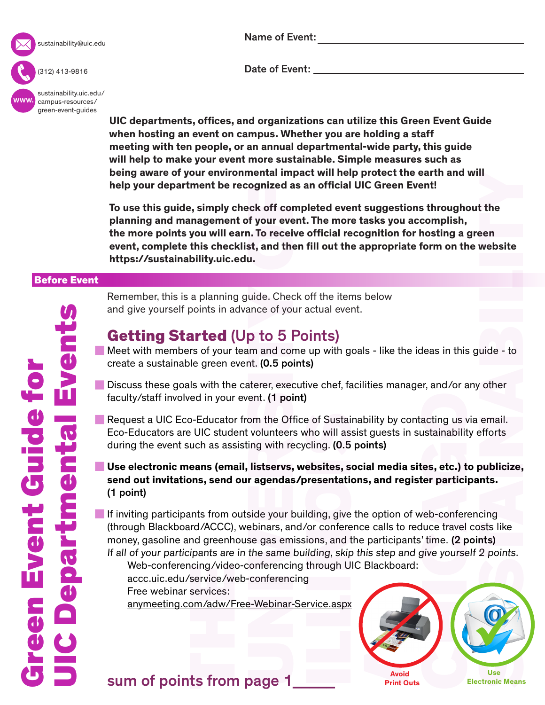

sustainability@uic.edu

(312) 413-9816

www. [sustainability.uic.edu/](sustainability.uic.edu/campus-resources/green-event-guides) campus-resources/ green-event-guides

Name of Event:

Date of Event: \_\_\_\_

**UIC departments, offices, and organizations can utilize this Green Event Guide when hosting an event on campus. Whether you are holding a staff meeting with ten people, or an annual departmental-wide party, this guide will help to make your event more sustainable. Simple measures such as being aware of your environmental impact will help protect the earth and will help your department be recognized as an official UIC Green Event!**

**To use this guide, simply check off completed event suggestions throughout the planning and management of your event. The more tasks you accomplish, the more points you will earn. To receive official recognition for hosting a green event, complete this checklist, and then fill out the appropriate form on the website [https://sustainability.uic.edu.](https://sustainability.uic.edu)**

#### Before Event

Remember, this is a planning guide. Check off the items below and give yourself points in advance of your actual event.

## Getting Started (Up to 5 Points)

- Meet with members of your team and come up with goals like the ideas in this guide to create a sustainable green event. (0.5 points)
- Discuss these goals with the caterer, executive chef, facilities manager, and/or any other faculty/staff involved in your event. (1 point)
- Request a UIC Eco-Educator from the Office of Sustainability by contacting us via email. Eco-Educators are UIC student volunteers who will assist guests in sustainability efforts during the event such as assisting with recycling. (0.5 points)
- **Use electronic means (email, listservs, websites, social media sites, etc.) to publicize, send out invitations, send our agendas/presentations, and register participants.**  (1 point)

If inviting participants from outside your building, give the option of web-conferencing (through Blackboard/ACCC), webinars, and/or conference calls to reduce travel costs like money, gasoline and greenhouse gas emissions, and the participants' time. (2 points) If all of your participants are in the same building, skip this step and give yourself 2 points.

Web-conferencing/video-conferencing through UIC Blackboard:

 <accc.uic.edu/service/web-conferencing> Free webinar services:

<anymeeting.com/adw/Free-Webinar-Service.aspx>



sum of points from page 1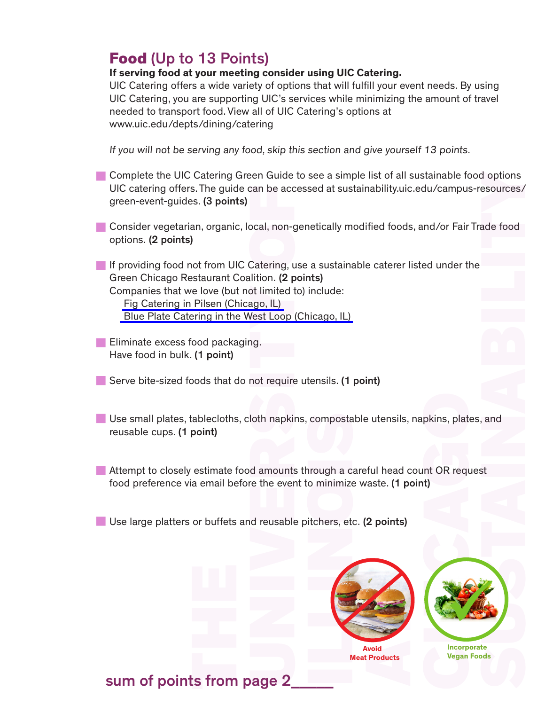## Food (Up to 13 Points)

#### **If serving food at your meeting consider using UIC Catering.**

UIC Catering offers a wide variety of options that will fulfill your event needs. By using UIC Catering, you are supporting UIC's services while minimizing the amount of travel needed to transport food. View all of UIC Catering's options at <www.uic.edu/depts/dining/catering>

If you will not be serving any food, skip this section and give yourself 13 points.

- **Complete the UIC Catering Green Guide to see a simple list of all sustainable food options** UIC catering offers. The guide can be accessed at sustainability.uic.edu/campus-resources/ green-event-guides. (3 points)
- Consider vegetarian, organic, local, non-genetically modified foods, and/or Fair Trade food options. (2 points)
- If providing food not from UIC Catering, use a sustainable caterer listed under the Green Chicago Restaurant Coalition. (2 points) Companies that we love (but not limited to) include: [Fig Catering in Pilsen \(Chicago, IL\)](http://www.figcatering.com) [Blue Plate Catering in the West Loop \(Chicago, IL\)](http://blueplatechicago.com/your-event/)
- **Eliminate excess food packaging.** Have food in bulk. (1 point)
- Serve bite-sized foods that do not require utensils. (1 point)
- Use small plates, tablecloths, cloth napkins, compostable utensils, napkins, plates, and reusable cups. (1 point)
- Attempt to closely estimate food amounts through a careful head count OR request food preference via email before the event to minimize waste. (1 point)
- Use large platters or buffets and reusable pitchers, etc. (2 points)



 **Avoid Meat Products**



**Incorporate Vegan Foods**

## sum of points from page 2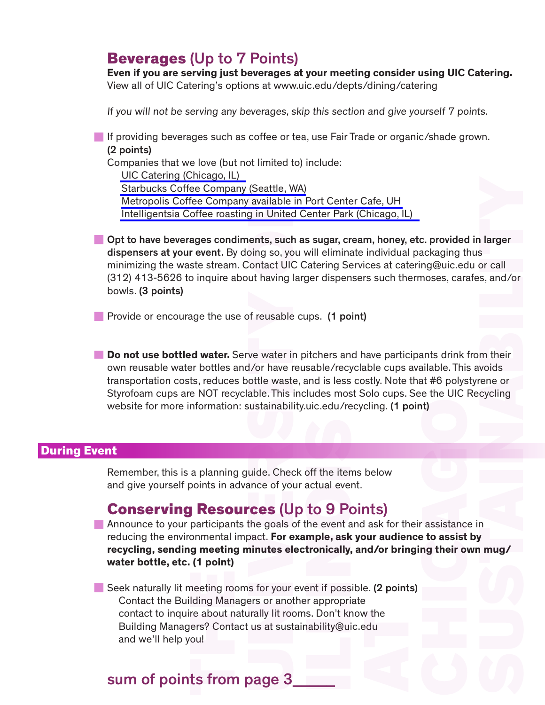#### Beverages (Up to 7 Points)

**Even if you are serving just beverages at your meeting consider using UIC Catering.** View all of UIC Catering's options at [www.uic.edu/depts/dining/catering](http://www.uic.edu/depts/dining/catering.shtml)

If you will not be serving any beverages, skip this section and give yourself 7 points.

If providing beverages such as coffee or tea, use Fair Trade or organic/shade grown. (2 points)

Companies that we love (but not limited to) include: [UIC Catering \(Chicago, IL\)](http://www.uic.edu/depts/dining/catering.shtml) [Starbucks Coffee Company \(Seattle, WA\)](http://www.starbucks.com/?cm_mmc=Google-_-BR+-+Brand+-+Starbucks-_-Starbucks+Brand-_-starbucks+coffee+company&channel=search&utm_campaign=BR+-+Brand+-+Starbucks&utm_group=Starbucks+Brand&keyword=starbucks+coffee+company&matchtype=Phrase&gclid=CN_Tt7Ds7sMCFQ-saQodE6QALw) [Metropolis Coffee Company available in Port Center Cafe, UH](https://www.metropoliscoffee.com) [Intelligentsia Coffee roasting in United Center Park \(Chicago, IL\)](http://www.intelligentsiacoffee.com) 

and larger<br>
s, and /or<br>
m their<br>
voids<br>
rene or<br>
cycling<br>
n<br>
n<br>
l<br>
mug/ Opt to have beverages condiments, such as sugar, cream, honey, etc. provided in larger dispensers at your event. By doing so, you will eliminate individual packaging thus minimizing the waste stream. Contact UIC Catering Services at catering@uic.edu or call (312) 413-5626 to inquire about having larger dispensers such thermoses, carafes, and/or bowls. (3 points)

**Provide or encourage the use of reusable cups. (1 point)** 

**Do not use bottled water.** Serve water in pitchers and have participants drink from their own reusable water bottles and/or have reusable/recyclable cups available. This avoids transportation costs, reduces bottle waste, and is less costly. Note that #6 polystyrene or Styrofoam cups are NOT recyclable. This includes most Solo cups. See the UIC Recycling website for more information: [sustainability.uic.edu/recycling.](sustainability.uic.edu/recycling) (1 point)

#### During Event

Remember, this is a planning guide. Check off the items below and give yourself points in advance of your actual event.

#### Conserving Resources (Up to 9 Points)

Announce to your participants the goals of the event and ask for their assistance in reducing the environmental impact. **For example, ask your audience to assist by recycling, sending meeting minutes electronically, and/or bringing their own mug/ water bottle, etc. (1 point)** 

Seek naturally lit meeting rooms for your event if possible. (2 points) Contact the Building Managers or another appropriate contact to inquire about naturally lit rooms. Don't know the Building Managers? Contact us at sustainability@uic.edu and we'll help you!

## sum of points from page 3\_\_\_\_\_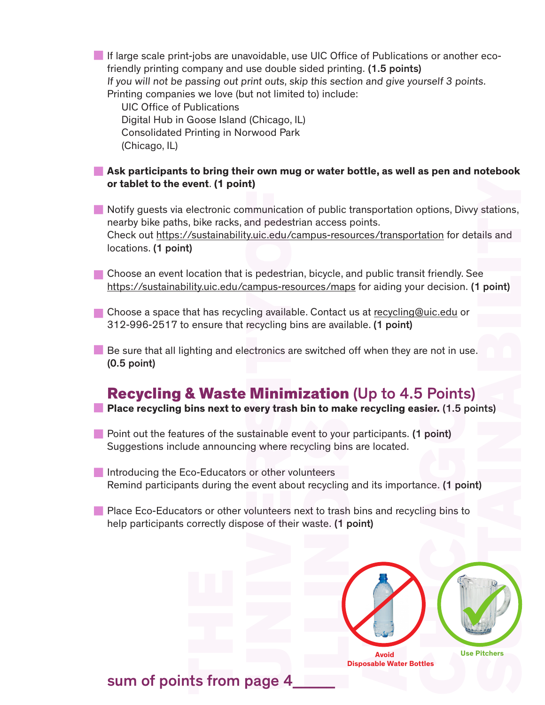If large scale print-jobs are unavoidable, use UIC Office of Publications or another ecofriendly printing company and use double sided printing. (1.5 points) If you will not be passing out print outs, skip this section and give yourself 3 points. Printing companies we love (but not limited to) include:

 UIC Office of Publications Digital Hub in Goose Island (Chicago, IL) Consolidated Printing in Norwood Park (Chicago, IL)

#### **Ask participants to bring their own mug or water bottle, as well as pen and notebook or tablet to the event**. **(1 point)**

Notify guests via electronic communication of public transportation options, Divvy stations, nearby bike paths, bike racks, and pedestrian access points. Check out<https://sustainability.uic.edu/campus-resources/transportation>for details and locations. (1 point)

Choose an event location that is pedestrian, bicycle, and public transit friendly. See <https://sustainability.uic.edu/campus-resources/maps>for aiding your decision. (1 point)

Choose a space that has recycling available. Contact us at recycling@uic.edu or 312-996-2517 to ensure that recycling bins are available. (1 point)

 $\blacksquare$  Be sure that all lighting and electronics are switched off when they are not in use. (0.5 point)

## Recycling & Waste Minimization (Up to 4.5 Points)

**Place recycling bins next to every trash bin to make recycling easier.** (1.5 points)

- Point out the features of the sustainable event to your participants. (1 point) Suggestions include announcing where recycling bins are located.
- Introducing the Eco-Educators or other volunteers Remind participants during the event about recycling and its importance. (1 point)
- **Place Eco-Educators or other volunteers next to trash bins and recycling bins to** help participants correctly dispose of their waste. (1 point)



**Disposable Water Bottles**

sum of points from page 4